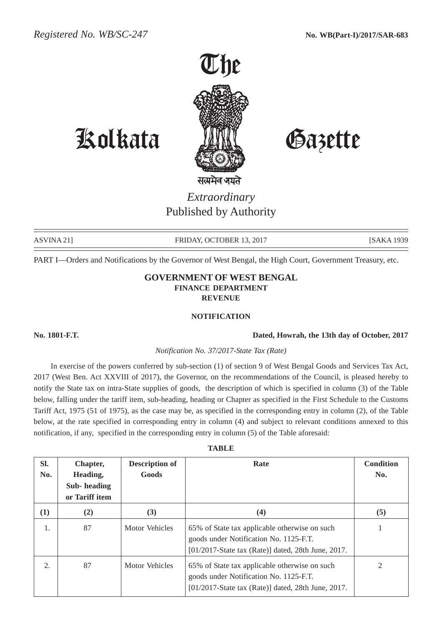

# Kolkata Gazette

*Extraordinary* Published by Authority

ASVINA 21] FRIDAY, OCTOBER 13, 2017 [SAKA 1939]

PART I—Orders and Notifications by the Governor of West Bengal, the High Court, Government Treasury, etc.

### **GOVERNMENT OF WEST BENGAL FINANCE DEPARTMENT REVENUE**

#### **NOTIFICATION**

#### **No. 1801-F.T. Dated, Howrah, the 13th day of October, 2017**

#### *Notification No. 37/2017-State Tax (Rate)*

In exercise of the powers conferred by sub-section (1) of section 9 of West Bengal Goods and Services Tax Act, 2017 (West Ben. Act XXVIII of 2017), the Governor, on the recommendations of the Council, is pleased hereby to notify the State tax on intra-State supplies of goods, the description of which is specified in column (3) of the Table below, falling under the tariff item, sub-heading, heading or Chapter as specified in the First Schedule to the Customs Tariff Act, 1975 (51 of 1975), as the case may be, as specified in the corresponding entry in column (2), of the Table below, at the rate specified in corresponding entry in column (4) and subject to relevant conditions annexed to this notification, if any, specified in the corresponding entry in column (5) of the Table aforesaid:

|  | ı. |
|--|----|
|--|----|

| Sl.<br>No.       | Chapter,<br>Heading, | <b>Description of</b><br>Goods | Rate                                                                                                                                             | <b>Condition</b><br>No. |
|------------------|----------------------|--------------------------------|--------------------------------------------------------------------------------------------------------------------------------------------------|-------------------------|
|                  | Sub-heading          |                                |                                                                                                                                                  |                         |
|                  | or Tariff item       |                                |                                                                                                                                                  |                         |
| (1)              | (2)                  | (3)                            | (4)                                                                                                                                              | (5)                     |
| 1.               | 87                   | Motor Vehicles                 | 65% of State tax applicable otherwise on such<br>goods under Notification No. 1125-F.T.<br>$[01/2017-S$ tate tax (Rate)] dated, 28th June, 2017. |                         |
| $\overline{2}$ . | 87                   | Motor Vehicles                 | 65% of State tax applicable otherwise on such<br>goods under Notification No. 1125-F.T.<br>$[01/2017-S$ tate tax (Rate)] dated, 28th June, 2017. | 2                       |